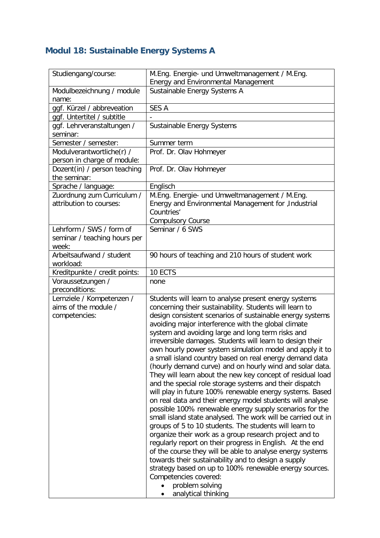## **Modul 18: Sustainable Energy Systems A**

| Studiengang/course:                                   | M.Eng. Energie- und Umweltmanagement / M.Eng.<br>Energy and Environmental Management                                                                                                                                                                                                                                                                                                                                                                                                                                                                                                                                                                                                                                                                                                                                                                                                                                                                                                                                                                                                                                                                                                                                                                                                            |
|-------------------------------------------------------|-------------------------------------------------------------------------------------------------------------------------------------------------------------------------------------------------------------------------------------------------------------------------------------------------------------------------------------------------------------------------------------------------------------------------------------------------------------------------------------------------------------------------------------------------------------------------------------------------------------------------------------------------------------------------------------------------------------------------------------------------------------------------------------------------------------------------------------------------------------------------------------------------------------------------------------------------------------------------------------------------------------------------------------------------------------------------------------------------------------------------------------------------------------------------------------------------------------------------------------------------------------------------------------------------|
| Modulbezeichnung / module                             | Sustainable Energy Systems A                                                                                                                                                                                                                                                                                                                                                                                                                                                                                                                                                                                                                                                                                                                                                                                                                                                                                                                                                                                                                                                                                                                                                                                                                                                                    |
| name:                                                 |                                                                                                                                                                                                                                                                                                                                                                                                                                                                                                                                                                                                                                                                                                                                                                                                                                                                                                                                                                                                                                                                                                                                                                                                                                                                                                 |
| ggf. Kürzel / abbreveation                            | <b>SES A</b>                                                                                                                                                                                                                                                                                                                                                                                                                                                                                                                                                                                                                                                                                                                                                                                                                                                                                                                                                                                                                                                                                                                                                                                                                                                                                    |
| ggf. Untertitel / subtitle                            |                                                                                                                                                                                                                                                                                                                                                                                                                                                                                                                                                                                                                                                                                                                                                                                                                                                                                                                                                                                                                                                                                                                                                                                                                                                                                                 |
| ggf. Lehrveranstaltungen /<br>seminar:                | Sustainable Energy Systems                                                                                                                                                                                                                                                                                                                                                                                                                                                                                                                                                                                                                                                                                                                                                                                                                                                                                                                                                                                                                                                                                                                                                                                                                                                                      |
| Semester / semester:                                  | Summer term                                                                                                                                                                                                                                                                                                                                                                                                                                                                                                                                                                                                                                                                                                                                                                                                                                                                                                                                                                                                                                                                                                                                                                                                                                                                                     |
| Modulverantwortliche(r) /                             | Prof. Dr. Olav Hohmeyer                                                                                                                                                                                                                                                                                                                                                                                                                                                                                                                                                                                                                                                                                                                                                                                                                                                                                                                                                                                                                                                                                                                                                                                                                                                                         |
| person in charge of module:                           |                                                                                                                                                                                                                                                                                                                                                                                                                                                                                                                                                                                                                                                                                                                                                                                                                                                                                                                                                                                                                                                                                                                                                                                                                                                                                                 |
| Dozent(in) / person teaching<br>the seminar:          | Prof. Dr. Olav Hohmeyer                                                                                                                                                                                                                                                                                                                                                                                                                                                                                                                                                                                                                                                                                                                                                                                                                                                                                                                                                                                                                                                                                                                                                                                                                                                                         |
| Sprache / language:                                   | Englisch                                                                                                                                                                                                                                                                                                                                                                                                                                                                                                                                                                                                                                                                                                                                                                                                                                                                                                                                                                                                                                                                                                                                                                                                                                                                                        |
| Zuordnung zum Curriculum /<br>attribution to courses: | M.Eng. Energie- und Umweltmanagement / M.Eng.<br>Energy and Environmental Management for , Industrial<br>Countries'<br><b>Compulsory Course</b>                                                                                                                                                                                                                                                                                                                                                                                                                                                                                                                                                                                                                                                                                                                                                                                                                                                                                                                                                                                                                                                                                                                                                 |
| Lehrform / SWS / form of                              | Seminar / 6 SWS                                                                                                                                                                                                                                                                                                                                                                                                                                                                                                                                                                                                                                                                                                                                                                                                                                                                                                                                                                                                                                                                                                                                                                                                                                                                                 |
| seminar / teaching hours per<br>week:                 |                                                                                                                                                                                                                                                                                                                                                                                                                                                                                                                                                                                                                                                                                                                                                                                                                                                                                                                                                                                                                                                                                                                                                                                                                                                                                                 |
| Arbeitsaufwand / student<br>workload:                 | 90 hours of teaching and 210 hours of student work                                                                                                                                                                                                                                                                                                                                                                                                                                                                                                                                                                                                                                                                                                                                                                                                                                                                                                                                                                                                                                                                                                                                                                                                                                              |
| Kreditpunkte / credit points:                         | 10 ECTS                                                                                                                                                                                                                                                                                                                                                                                                                                                                                                                                                                                                                                                                                                                                                                                                                                                                                                                                                                                                                                                                                                                                                                                                                                                                                         |
| Voraussetzungen /<br>preconditions:                   | none                                                                                                                                                                                                                                                                                                                                                                                                                                                                                                                                                                                                                                                                                                                                                                                                                                                                                                                                                                                                                                                                                                                                                                                                                                                                                            |
| Lernziele / Kompetenzen /                             | Students will learn to analyse present energy systems                                                                                                                                                                                                                                                                                                                                                                                                                                                                                                                                                                                                                                                                                                                                                                                                                                                                                                                                                                                                                                                                                                                                                                                                                                           |
| aims of the module /<br>competencies:                 | concerning their sustainability. Students will learn to<br>design consistent scenarios of sustainable energy systems<br>avoiding major interference with the global climate<br>system and avoiding large and long term risks and<br>irreversible damages. Students will learn to design their<br>own hourly power system simulation model and apply it to<br>a small island country based on real energy demand data<br>(hourly demand curve) and on hourly wind and solar data.<br>They will learn about the new key concept of residual load<br>and the special role storage systems and their dispatch<br>will play in future 100% renewable energy systems. Based<br>on real data and their energy model students will analyse<br>possible 100% renewable energy supply scenarios for the<br>small island state analysed. The work will be carried out in<br>groups of 5 to 10 students. The students will learn to<br>organize their work as a group research project and to<br>regularly report on their progress in English. At the end<br>of the course they will be able to analyse energy systems<br>towards their sustainability and to design a supply<br>strategy based on up to 100% renewable energy sources.<br>Competencies covered:<br>problem solving<br>analytical thinking |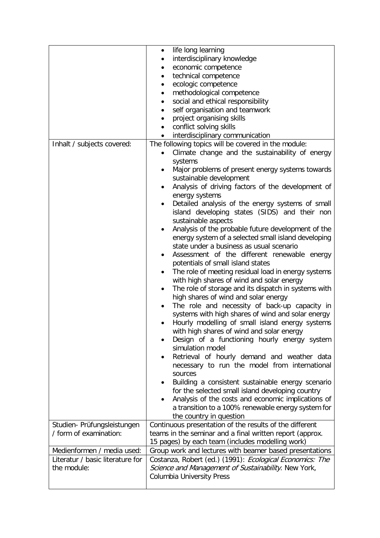|                                  | life long learning<br>٠                                           |
|----------------------------------|-------------------------------------------------------------------|
|                                  | interdisciplinary knowledge                                       |
|                                  | economic competence                                               |
|                                  | technical competence                                              |
|                                  | ecologic competence<br>٠                                          |
|                                  | methodological competence<br>٠                                    |
|                                  | social and ethical responsibility<br>$\bullet$                    |
|                                  | self organisation and teamwork                                    |
|                                  | project organising skills                                         |
|                                  | conflict solving skills                                           |
|                                  | interdisciplinary communication                                   |
| Inhalt / subjects covered:       | The following topics will be covered in the module:               |
|                                  | Climate change and the sustainability of energy                   |
|                                  | systems                                                           |
|                                  | Major problems of present energy systems towards                  |
|                                  | sustainable development                                           |
|                                  | Analysis of driving factors of the development of                 |
|                                  | energy systems                                                    |
|                                  | Detailed analysis of the energy systems of small<br>$\bullet$     |
|                                  | island developing states (SIDS) and their non                     |
|                                  | sustainable aspects                                               |
|                                  | Analysis of the probable future development of the                |
|                                  | energy system of a selected small island developing               |
|                                  | state under a business as usual scenario                          |
|                                  | Assessment of the different renewable energy<br>٠                 |
|                                  | potentials of small island states                                 |
|                                  | The role of meeting residual load in energy systems               |
|                                  |                                                                   |
|                                  | with high shares of wind and solar energy                         |
|                                  | The role of storage and its dispatch in systems with<br>$\bullet$ |
|                                  | high shares of wind and solar energy                              |
|                                  | The role and necessity of back-up capacity in                     |
|                                  | systems with high shares of wind and solar energy                 |
|                                  | Hourly modelling of small island energy systems                   |
|                                  | with high shares of wind and solar energy                         |
|                                  | Design of a functioning hourly energy system                      |
|                                  | simulation model                                                  |
|                                  | Retrieval of hourly demand and weather data                       |
|                                  | necessary to run the model from international                     |
|                                  | sources                                                           |
|                                  | Building a consistent sustainable energy scenario                 |
|                                  | for the selected small island developing country                  |
|                                  | Analysis of the costs and economic implications of                |
|                                  | a transition to a 100% renewable energy system for                |
|                                  | the country in question                                           |
| Studien- Prüfungsleistungen      | Continuous presentation of the results of the different           |
| / form of examination:           | teams in the seminar and a final written report (approx.          |
|                                  | 15 pages) by each team (includes modelling work)                  |
| Medienformen / media used:       | Group work and lectures with beamer based presentations           |
| Literatur / basic literature for | Costanza, Robert (ed.) (1991): Ecological Economics: The          |
| the module:                      | Science and Management of Sustainability. New York,               |
|                                  | <b>Columbia University Press</b>                                  |
|                                  |                                                                   |